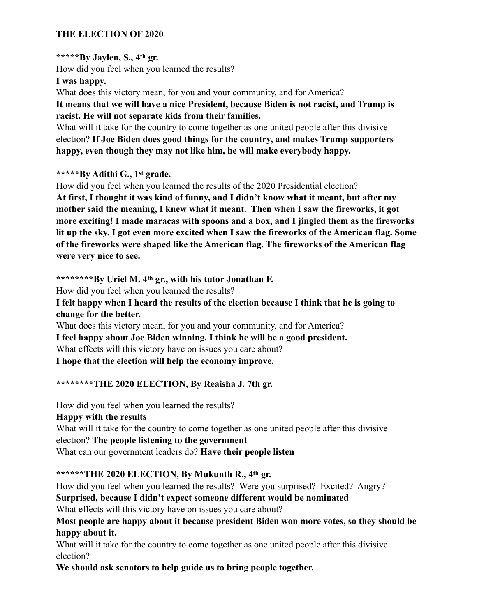#### **THE ELECTION OF 2020**

#### **\*\*\*\*\*By Jaylen, S., 4th gr.**

How did you feel when you learned the results?

#### **I was happy.**

What does this victory mean, for you and your community, and for America?

**It means that we will have a nice President, because Biden is not racist, and Trump is racist. He will not separate kids from their families.** 

What will it take for the country to come together as one united people after this divisive election? **If Joe Biden does good things for the country, and makes Trump supporters happy, even though they may not like him, he will make everybody happy.** 

#### **\*\*\*\*\*By Adithi G., 1st grade.**

How did you feel when you learned the results of the 2020 Presidential election?

**At first, I thought it was kind of funny, and I didn't know what it meant, but after my mother said the meaning, I knew what it meant. Then when I saw the fireworks, it got more exciting! I made maracas with spoons and a box, and I jingled them as the fireworks lit up the sky. I got even more excited when I saw the fireworks of the American flag. Some of the fireworks were shaped like the American flag. The fireworks of the American flag were very nice to see.** 

**\*\*\*\*\*\*\*\*By Uriel M. 4th gr., with his tutor Jonathan F.** 

How did you feel when you learned the results?

**I felt happy when I heard the results of the election because I think that he is going to change for the better.**

What does this victory mean, for you and your community, and for America? **I feel happy about Joe Biden winning. I think he will be a good president.**  What effects will this victory have on issues you care about? **I hope that the election will help the economy improve.**

#### **\*\*\*\*\*\*\*\*THE 2020 ELECTION, By Reaisha J. 7th gr.**

How did you feel when you learned the results? **Happy with the results**  What will it take for the country to come together as one united people after this divisive election? **The people listening to the government**  What can our government leaders do? **Have their people listen**

**\*\*\*\*\*\*THE 2020 ELECTION, By Mukunth R., 4th gr.**

How did you feel when you learned the results? Were you surprised? Excited? Angry? **Surprised, because I didn't expect someone different would be nominated** 

What effects will this victory have on issues you care about?

**Most people are happy about it because president Biden won more votes, so they should be happy about it.** 

What will it take for the country to come together as one united people after this divisive election?

**We should ask senators to help guide us to bring people together.**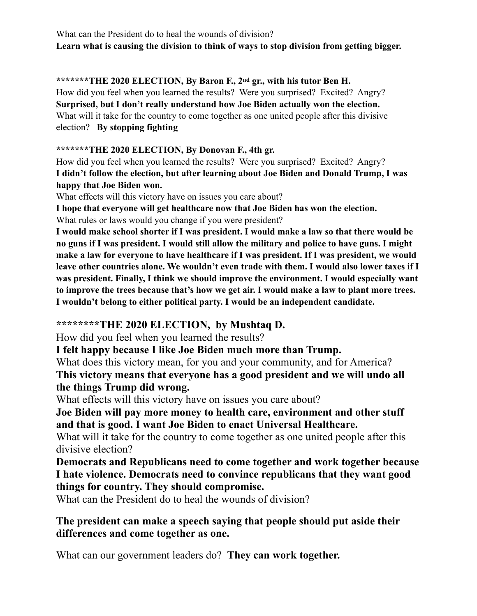What can the President do to heal the wounds of division? **Learn what is causing the division to think of ways to stop division from getting bigger.**

**\*\*\*\*\*\*\*THE 2020 ELECTION, By Baron F., 2nd gr., with his tutor Ben H.**  How did you feel when you learned the results? Were you surprised? Excited? Angry? **Surprised, but I don't really understand how Joe Biden actually won the election.**  What will it take for the country to come together as one united people after this divisive election? **By stopping fighting** 

**\*\*\*\*\*\*\*THE 2020 ELECTION, By Donovan F., 4th gr.**

How did you feel when you learned the results? Were you surprised? Excited? Angry? **I didn't follow the election, but after learning about Joe Biden and Donald Trump, I was happy that Joe Biden won.**

What effects will this victory have on issues you care about?

**I hope that everyone will get healthcare now that Joe Biden has won the election.** What rules or laws would you change if you were president?

**I would make school shorter if I was president. I would make a law so that there would be no guns if I was president. I would still allow the military and police to have guns. I might make a law for everyone to have healthcare if I was president. If I was president, we would leave other countries alone. We wouldn't even trade with them. I would also lower taxes if I was president. Finally, I think we should improve the environment. I would especially want to improve the trees because that's how we get air. I would make a law to plant more trees. I wouldn't belong to either political party. I would be an independent candidate.** 

## **\*\*\*\*\*\*\*\*THE 2020 ELECTION, by Mushtaq D.**

How did you feel when you learned the results?

**I felt happy because I like Joe Biden much more than Trump.**

What does this victory mean, for you and your community, and for America? **This victory means that everyone has a good president and we will undo all the things Trump did wrong.** 

What effects will this victory have on issues you care about?

**Joe Biden will pay more money to health care, environment and other stuff and that is good. I want Joe Biden to enact Universal Healthcare.**

What will it take for the country to come together as one united people after this divisive election?

**Democrats and Republicans need to come together and work together because I hate violence. Democrats need to convince republicans that they want good things for country. They should compromise.**

What can the President do to heal the wounds of division?

## **The president can make a speech saying that people should put aside their differences and come together as one.**

What can our government leaders do? **They can work together.**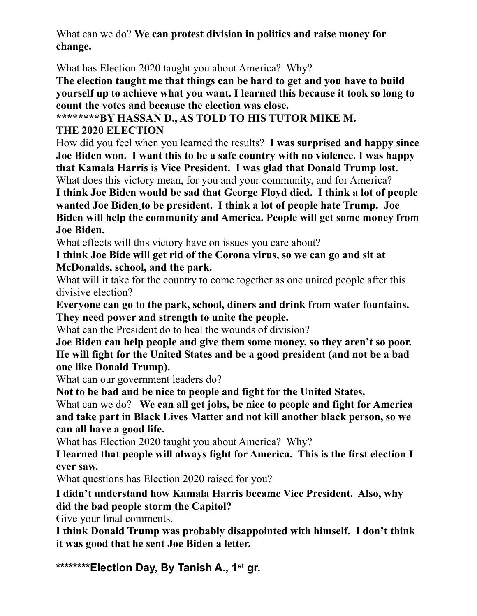What can we do? **We can protest division in politics and raise money for change.**

What has Election 2020 taught you about America? Why?

**The election taught me that things can be hard to get and you have to build yourself up to achieve what you want. I learned this because it took so long to count the votes and because the election was close.** 

**\*\*\*\*\*\*\*\*BY HASSAN D., AS TOLD TO HIS TUTOR MIKE M.**

## **THE 2020 ELECTION**

How did you feel when you learned the results? **I was surprised and happy since Joe Biden won. I want this to be a safe country with no violence. I was happy that Kamala Harris is Vice President. I was glad that Donald Trump lost.**

What does this victory mean, for you and your community, and for America?

**I think Joe Biden would be sad that George Floyd died. I think a lot of people wanted Joe Biden to be president. I think a lot of people hate Trump. Joe Biden will help the community and America. People will get some money from Joe Biden.**

What effects will this victory have on issues you care about?

**I think Joe Bide will get rid of the Corona virus, so we can go and sit at McDonalds, school, and the park.** 

What will it take for the country to come together as one united people after this divisive election?

**Everyone can go to the park, school, diners and drink from water fountains. They need power and strength to unite the people.**

What can the President do to heal the wounds of division?

**Joe Biden can help people and give them some money, so they aren't so poor. He will fight for the United States and be a good president (and not be a bad one like Donald Trump).**

What can our government leaders do?

**Not to be bad and be nice to people and fight for the United States.**

What can we do? **We can all get jobs, be nice to people and fight for America and take part in Black Lives Matter and not kill another black person, so we can all have a good life.**

What has Election 2020 taught you about America? Why?

**I learned that people will always fight for America. This is the first election I ever saw.** 

What questions has Election 2020 raised for you?

**I didn't understand how Kamala Harris became Vice President. Also, why did the bad people storm the Capitol?**

Give your final comments.

**I think Donald Trump was probably disappointed with himself. I don't think it was good that he sent Joe Biden a letter.**

**\*\*\*\*\*\*\*\*Election Day, By Tanish A., 1st gr.**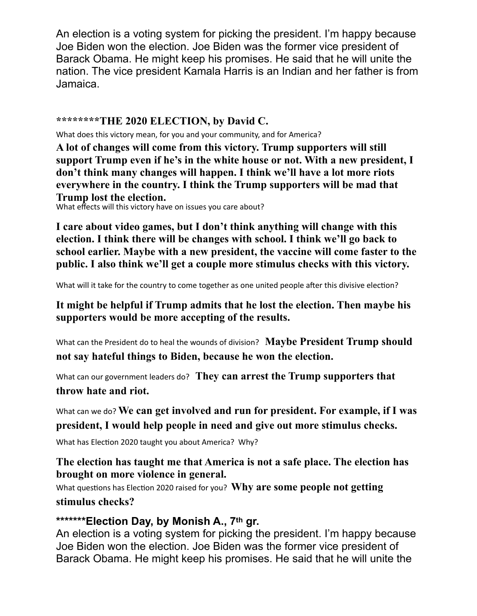An election is a voting system for picking the president. I'm happy because Joe Biden won the election. Joe Biden was the former vice president of Barack Obama. He might keep his promises. He said that he will unite the nation. The vice president Kamala Harris is an Indian and her father is from Jamaica.

#### **\*\*\*\*\*\*\*\*THE 2020 ELECTION, by David C.**

What does this victory mean, for you and your community, and for America?

**A lot of changes will come from this victory. Trump supporters will still support Trump even if he's in the white house or not. With a new president, I don't think many changes will happen. I think we'll have a lot more riots everywhere in the country. I think the Trump supporters will be mad that Trump lost the election.**

What effects will this victory have on issues you care about?

**I care about video games, but I don't think anything will change with this election. I think there will be changes with school. I think we'll go back to school earlier. Maybe with a new president, the vaccine will come faster to the public. I also think we'll get a couple more stimulus checks with this victory.**

What will it take for the country to come together as one united people after this divisive election?

**It might be helpful if Trump admits that he lost the election. Then maybe his supporters would be more accepting of the results.** 

What can the President do to heal the wounds of division? **Maybe President Trump should not say hateful things to Biden, because he won the election.** 

What can our government leaders do? **They can arrest the Trump supporters that throw hate and riot.** 

What can we do? **We can get involved and run for president. For example, if I was president, I would help people in need and give out more stimulus checks.** 

What has Election 2020 taught you about America? Why?

**The election has taught me that America is not a safe place. The election has brought on more violence in general.** 

What questions has Election 2020 raised for you? **Why are some people not getting stimulus checks?** 

## **\*\*\*\*\*\*\*Election Day, by Monish A., 7th gr.**

An election is a voting system for picking the president. I'm happy because Joe Biden won the election. Joe Biden was the former vice president of Barack Obama. He might keep his promises. He said that he will unite the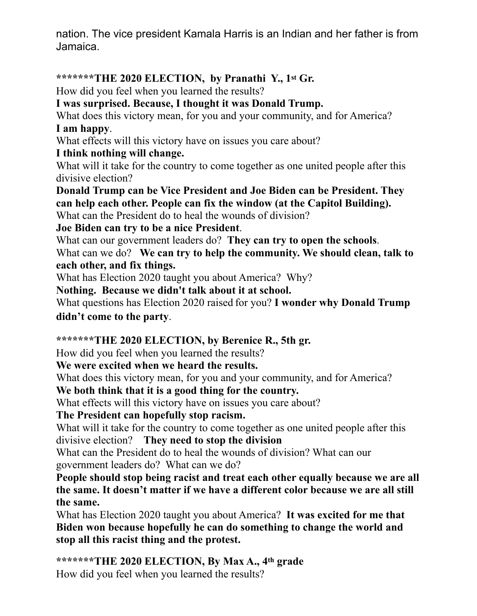nation. The vice president Kamala Harris is an Indian and her father is from Jamaica.

# **\*\*\*\*\*\*\*THE 2020 ELECTION, by Pranathi Y., 1st Gr.**

How did you feel when you learned the results?

# **I was surprised. Because, I thought it was Donald Trump.**

What does this victory mean, for you and your community, and for America? **I am happy**.

What effects will this victory have on issues you care about?

## **I think nothing will change.**

What will it take for the country to come together as one united people after this divisive election?

**Donald Trump can be Vice President and Joe Biden can be President. They can help each other. People can fix the window (at the Capitol Building).**  What can the President do to heal the wounds of division?

**Joe Biden can try to be a nice President**.

What can our government leaders do? **They can try to open the schools**.

What can we do? **We can try to help the community. We should clean, talk to each other, and fix things.**

What has Election 2020 taught you about America? Why?

**Nothing. Because we didn't talk about it at school.** 

What questions has Election 2020 raised for you? **I wonder why Donald Trump didn't come to the party**.

## **\*\*\*\*\*\*\*THE 2020 ELECTION, by Berenice R., 5th gr.**

How did you feel when you learned the results?

## **We were excited when we heard the results.**

What does this victory mean, for you and your community, and for America?

**We both think that it is a good thing for the country.** 

What effects will this victory have on issues you care about?

## **The President can hopefully stop racism.**

What will it take for the country to come together as one united people after this divisive election? **They need to stop the division** 

What can the President do to heal the wounds of division? What can our government leaders do? What can we do?

**People should stop being racist and treat each other equally because we are all the same. It doesn't matter if we have a different color because we are all still the same.** 

What has Election 2020 taught you about America? **It was excited for me that Biden won because hopefully he can do something to change the world and stop all this racist thing and the protest.**

**\*\*\*\*\*\*\*THE 2020 ELECTION, By Max A., 4th grade** How did you feel when you learned the results?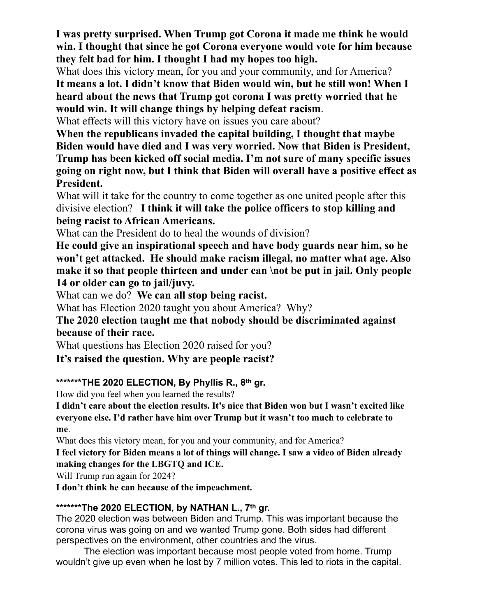**I was pretty surprised. When Trump got Corona it made me think he would win. I thought that since he got Corona everyone would vote for him because they felt bad for him. I thought I had my hopes too high.**

What does this victory mean, for you and your community, and for America? **It means a lot. I didn't know that Biden would win, but he still won! When I heard about the news that Trump got corona I was pretty worried that he would win. It will change things by helping defeat racism**.

What effects will this victory have on issues you care about?

**When the republicans invaded the capital building, I thought that maybe Biden would have died and I was very worried. Now that Biden is President, Trump has been kicked off social media. I'm not sure of many specific issues going on right now, but I think that Biden will overall have a positive effect as President.**

What will it take for the country to come together as one united people after this divisive election? **I think it will take the police officers to stop killing and being racist to African Americans.** 

What can the President do to heal the wounds of division?

**He could give an inspirational speech and have body guards near him, so he won't get attacked. He should make racism illegal, no matter what age. Also make it so that people thirteen and under can \not be put in jail. Only people 14 or older can go to jail/juvy.**

What can we do? **We can all stop being racist.**

What has Election 2020 taught you about America? Why?

**The 2020 election taught me that nobody should be discriminated against because of their race.** 

What questions has Election 2020 raised for you?

**It's raised the question. Why are people racist?** 

#### **\*\*\*\*\*\*\*THE 2020 ELECTION, By Phyllis R., 8th gr.**

How did you feel when you learned the results?

**I didn't care about the election results. It's nice that Biden won but I wasn't excited like everyone else. I'd rather have him over Trump but it wasn't too much to celebrate to me**.

What does this victory mean, for you and your community, and for America?

**I feel victory for Biden means a lot of things will change. I saw a video of Biden already making changes for the LBGTQ and ICE.** 

Will Trump run again for 2024?

**I don't think he can because of the impeachment.**

## **\*\*\*\*\*\*\*The 2020 ELECTION, by NATHAN L., 7th gr.**

The 2020 election was between Biden and Trump. This was important because the corona virus was going on and we wanted Trump gone. Both sides had different perspectives on the environment, other countries and the virus.

The election was important because most people voted from home. Trump wouldn't give up even when he lost by 7 million votes. This led to riots in the capital.